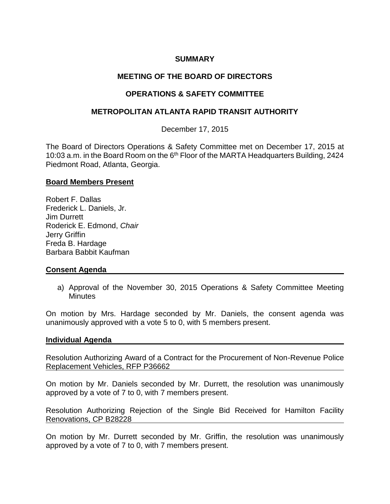## **SUMMARY**

# **MEETING OF THE BOARD OF DIRECTORS**

# **OPERATIONS & SAFETY COMMITTEE**

### **METROPOLITAN ATLANTA RAPID TRANSIT AUTHORITY**

December 17, 2015

The Board of Directors Operations & Safety Committee met on December 17, 2015 at 10:03 a.m. in the Board Room on the 6<sup>th</sup> Floor of the MARTA Headquarters Building, 2424 Piedmont Road, Atlanta, Georgia.

#### **Board Members Present**

Robert F. Dallas Frederick L. Daniels, Jr. Jim Durrett Roderick E. Edmond, *Chair* Jerry Griffin Freda B. Hardage Barbara Babbit Kaufman

### **Consent Agenda**

a) Approval of the November 30, 2015 Operations & Safety Committee Meeting **Minutes** 

On motion by Mrs. Hardage seconded by Mr. Daniels, the consent agenda was unanimously approved with a vote 5 to 0, with 5 members present.

#### **Individual Agenda**

Resolution Authorizing Award of a Contract for the Procurement of Non-Revenue Police Replacement Vehicles, RFP P36662

On motion by Mr. Daniels seconded by Mr. Durrett, the resolution was unanimously approved by a vote of 7 to 0, with 7 members present.

Resolution Authorizing Rejection of the Single Bid Received for Hamilton Facility Renovations, CP B28228

On motion by Mr. Durrett seconded by Mr. Griffin, the resolution was unanimously approved by a vote of 7 to 0, with 7 members present.